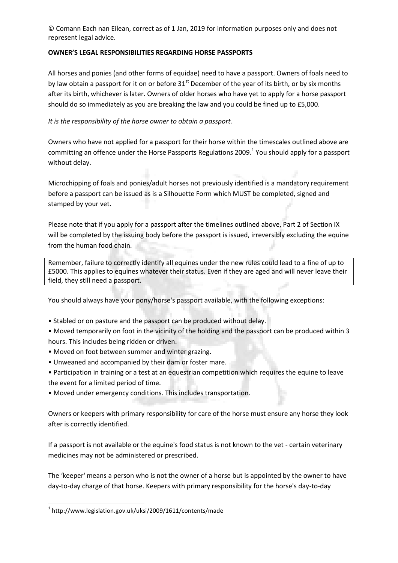© Comann Each nan Eilean, correct as of 1 Jan, 2019 for information purposes only and does not represent legal advice.

## **OWNER'S LEGAL RESPONSIBILITIES REGARDING HORSE PASSPORTS**

All horses and ponies (and other forms of equidae) need to have a passport. Owners of foals need to by law obtain a passport for it on or before  $31<sup>st</sup>$  December of the year of its birth, or by six months after its birth, whichever is later. Owners of older horses who have yet to apply for a horse passport should do so immediately as you are breaking the law and you could be fined up to £5,000.

## *It is the responsibility of the horse owner to obtain a passport.*

Owners who have not applied for a passport for their horse within the timescales outlined above are committing an offence under the Horse Passports Regulations 2009. $^1$  You should apply for a passport without delay.

Microchipping of foals and ponies/adult horses not previously identified is a mandatory requirement before a passport can be issued as is a Silhouette Form which MUST be completed, signed and stamped by your vet.

Please note that if you apply for a passport after the timelines outlined above, Part 2 of Section IX will be completed by the issuing body before the passport is issued, irreversibly excluding the equine from the human food chain.

Remember, failure to correctly identify all equines under the new rules could lead to a fine of up to £5000. This applies to equines whatever their status. Even if they are aged and will never leave their field, they still need a passport.

You should always have your pony/horse's passport available, with the following exceptions:

• Stabled or on pasture and the passport can be produced without delay.

• Moved temporarily on foot in the vicinity of the holding and the passport can be produced within 3 hours. This includes being ridden or driven.

- Moved on foot between summer and winter grazing.
- Unweaned and accompanied by their dam or foster mare.
- Participation in training or a test at an equestrian competition which requires the equine to leave the event for a limited period of time.
- Moved under emergency conditions. This includes transportation.

Owners or keepers with primary responsibility for care of the horse must ensure any horse they look after is correctly identified.

If a passport is not available or the equine's food status is not known to the vet - certain veterinary medicines may not be administered or prescribed.

The 'keeper' means a person who is not the owner of a horse but is appointed by the owner to have day-to-day charge of that horse. Keepers with primary responsibility for the horse's day-to-day

**.** 

<sup>1</sup> http://www.legislation.gov.uk/uksi/2009/1611/contents/made